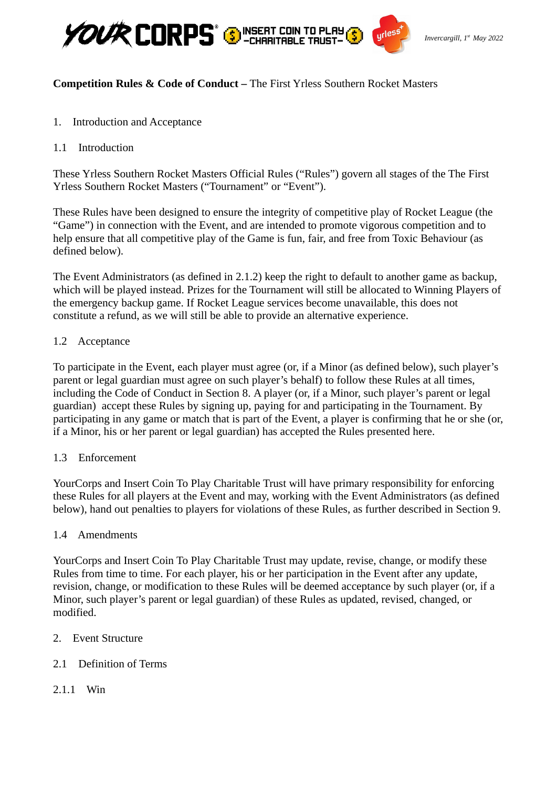

# **Competition Rules & Code of Conduct –** The First Yrless Southern Rocket Masters

- 1. Introduction and Acceptance
- 1.1 Introduction

These Yrless Southern Rocket Masters Official Rules ("Rules") govern all stages of the The First Yrless Southern Rocket Masters ("Tournament" or "Event").

These Rules have been designed to ensure the integrity of competitive play of Rocket League (the "Game") in connection with the Event, and are intended to promote vigorous competition and to help ensure that all competitive play of the Game is fun, fair, and free from Toxic Behaviour (as defined below).

The Event Administrators (as defined in 2.1.2) keep the right to default to another game as backup, which will be played instead. Prizes for the Tournament will still be allocated to Winning Players of the emergency backup game. If Rocket League services become unavailable, this does not constitute a refund, as we will still be able to provide an alternative experience.

# 1.2 Acceptance

To participate in the Event, each player must agree (or, if a Minor (as defined below), such player's parent or legal guardian must agree on such player's behalf) to follow these Rules at all times, including the Code of Conduct in Section 8. A player (or, if a Minor, such player's parent or legal guardian) accept these Rules by signing up, paying for and participating in the Tournament. By participating in any game or match that is part of the Event, a player is confirming that he or she (or, if a Minor, his or her parent or legal guardian) has accepted the Rules presented here.

# 1.3 Enforcement

YourCorps and Insert Coin To Play Charitable Trust will have primary responsibility for enforcing these Rules for all players at the Event and may, working with the Event Administrators (as defined below), hand out penalties to players for violations of these Rules, as further described in Section 9.

### 1.4 Amendments

YourCorps and Insert Coin To Play Charitable Trust may update, revise, change, or modify these Rules from time to time. For each player, his or her participation in the Event after any update, revision, change, or modification to these Rules will be deemed acceptance by such player (or, if a Minor, such player's parent or legal guardian) of these Rules as updated, revised, changed, or modified.

2. Event Structure

# 2.1 Definition of Terms

2.1.1 Win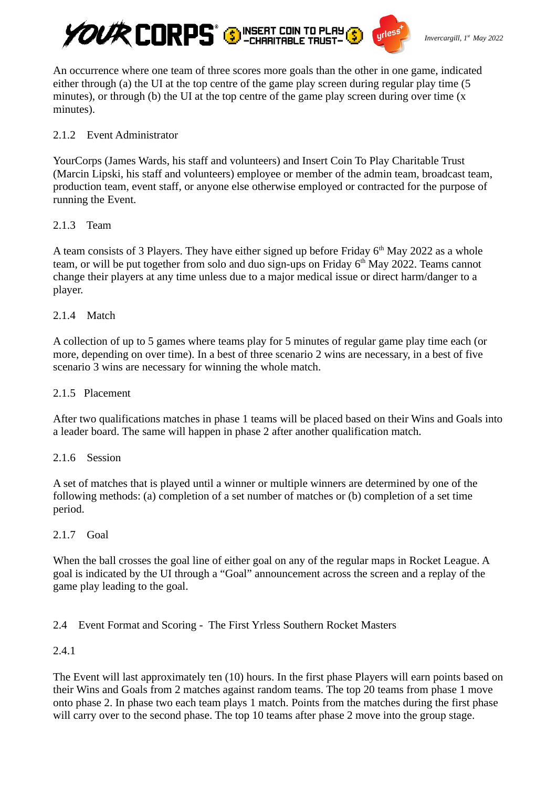

An occurrence where one team of three scores more goals than the other in one game, indicated either through (a) the UI at the top centre of the game play screen during regular play time (5 minutes), or through (b) the UI at the top centre of the game play screen during over time  $(x)$ minutes).

### 2.1.2 Event Administrator

YourCorps (James Wards, his staff and volunteers) and Insert Coin To Play Charitable Trust (Marcin Lipski, his staff and volunteers) employee or member of the admin team, broadcast team, production team, event staff, or anyone else otherwise employed or contracted for the purpose of running the Event.

#### 2.1.3 Team

A team consists of 3 Players. They have either signed up before Friday  $6<sup>th</sup>$  May 2022 as a whole team, or will be put together from solo and duo sign-ups on Friday  $6<sup>th</sup>$  May 2022. Teams cannot change their players at any time unless due to a major medical issue or direct harm/danger to a player.

### 2.1.4 Match

A collection of up to 5 games where teams play for 5 minutes of regular game play time each (or more, depending on over time). In a best of three scenario 2 wins are necessary, in a best of five scenario 3 wins are necessary for winning the whole match.

#### 2.1.5 Placement

After two qualifications matches in phase 1 teams will be placed based on their Wins and Goals into a leader board. The same will happen in phase 2 after another qualification match.

#### 2.1.6 Session

A set of matches that is played until a winner or multiple winners are determined by one of the following methods: (a) completion of a set number of matches or (b) completion of a set time period.

### 2.1.7 Goal

When the ball crosses the goal line of either goal on any of the regular maps in Rocket League. A goal is indicated by the UI through a "Goal" announcement across the screen and a replay of the game play leading to the goal.

### 2.4 Event Format and Scoring - The First Yrless Southern Rocket Masters

### 2.4.1

The Event will last approximately ten (10) hours. In the first phase Players will earn points based on their Wins and Goals from 2 matches against random teams. The top 20 teams from phase 1 move onto phase 2. In phase two each team plays 1 match. Points from the matches during the first phase will carry over to the second phase. The top 10 teams after phase 2 move into the group stage.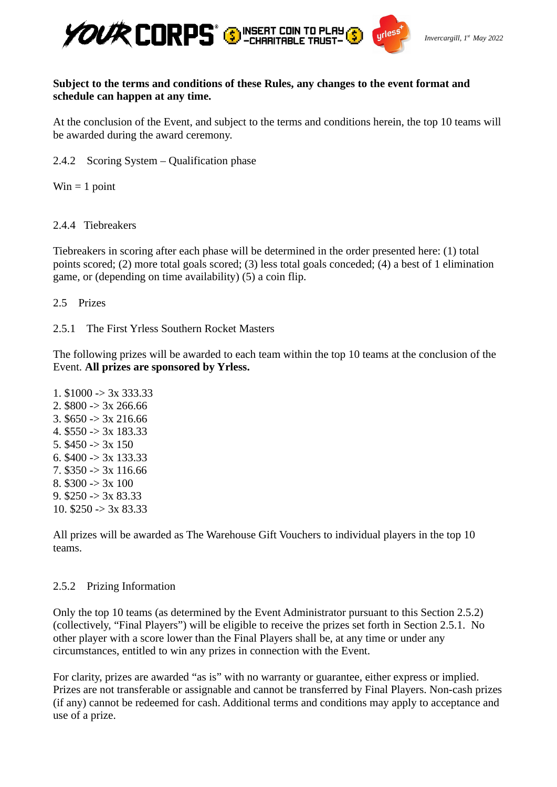

### **Subject to the terms and conditions of these Rules, any changes to the event format and schedule can happen at any time.**

At the conclusion of the Event, and subject to the terms and conditions herein, the top 10 teams will be awarded during the award ceremony.

2.4.2 Scoring System – Qualification phase

 $Win = 1 point$ 

2.4.4 Tiebreakers

Tiebreakers in scoring after each phase will be determined in the order presented here: (1) total points scored; (2) more total goals scored; (3) less total goals conceded; (4) a best of 1 elimination game, or (depending on time availability) (5) a coin flip.

- 2.5 Prizes
- 2.5.1 The First Yrless Southern Rocket Masters

The following prizes will be awarded to each team within the top 10 teams at the conclusion of the Event. **All prizes are sponsored by Yrless.**

1.  $$1000 \rightarrow 3x\,333.33$ 2.  $$800 \rightarrow 3x\,266.66$ 3. \$650 -> 3x 216.66 4. \$550 -> 3x 183.33 5.  $$450 \rightarrow 3x 150$ 6. \$400 -> 3x 133.33 7. \$350 -> 3x 116.66 8.  $$300 \rightarrow 3x 100$ 9.  $$250 \rightarrow 3x 83.33$ 10.  $$250 \rightarrow 3x 83.33$ 

All prizes will be awarded as The Warehouse Gift Vouchers to individual players in the top 10 teams.

### 2.5.2 Prizing Information

Only the top 10 teams (as determined by the Event Administrator pursuant to this Section 2.5.2) (collectively, "Final Players") will be eligible to receive the prizes set forth in Section 2.5.1. No other player with a score lower than the Final Players shall be, at any time or under any circumstances, entitled to win any prizes in connection with the Event.

For clarity, prizes are awarded "as is" with no warranty or guarantee, either express or implied. Prizes are not transferable or assignable and cannot be transferred by Final Players. Non-cash prizes (if any) cannot be redeemed for cash. Additional terms and conditions may apply to acceptance and use of a prize.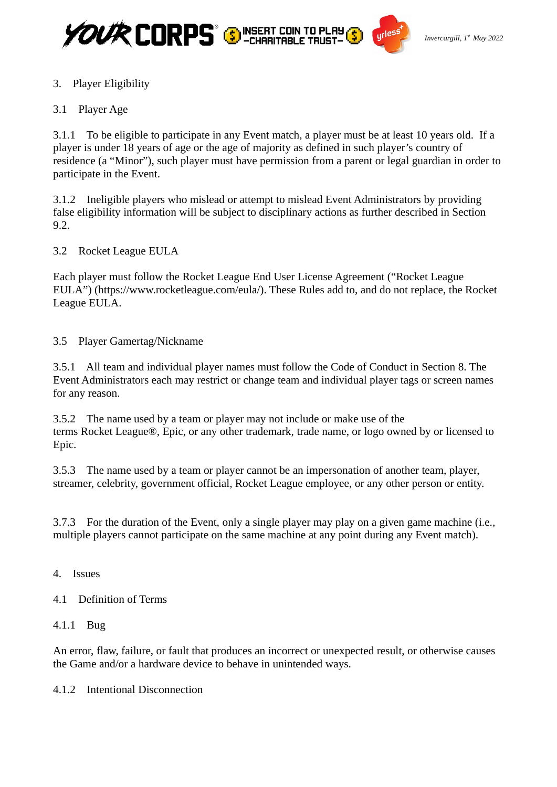



# 3. Player Eligibility

# 3.1 Player Age

3.1.1 To be eligible to participate in any Event match, a player must be at least 10 years old. If a player is under 18 years of age or the age of majority as defined in such player's country of residence (a "Minor"), such player must have permission from a parent or legal guardian in order to participate in the Event.

3.1.2 Ineligible players who mislead or attempt to mislead Event Administrators by providing false eligibility information will be subject to disciplinary actions as further described in Section 9.2.

3.2 Rocket League EULA

Each player must follow the Rocket League End User License Agreement ("Rocket League EULA") (https://www.rocketleague.com/eula/). These Rules add to, and do not replace, the Rocket League EULA.

3.5 Player Gamertag/Nickname

3.5.1 All team and individual player names must follow the Code of Conduct in Section 8. The Event Administrators each may restrict or change team and individual player tags or screen names for any reason.

3.5.2 The name used by a team or player may not include or make use of the terms Rocket League®, Epic, or any other trademark, trade name, or logo owned by or licensed to Epic.

3.5.3 The name used by a team or player cannot be an impersonation of another team, player, streamer, celebrity, government official, Rocket League employee, or any other person or entity.

3.7.3 For the duration of the Event, only a single player may play on a given game machine (i.e., multiple players cannot participate on the same machine at any point during any Event match).

4. Issues

# 4.1 Definition of Terms

### 4.1.1 Bug

An error, flaw, failure, or fault that produces an incorrect or unexpected result, or otherwise causes the Game and/or a hardware device to behave in unintended ways.

4.1.2 Intentional Disconnection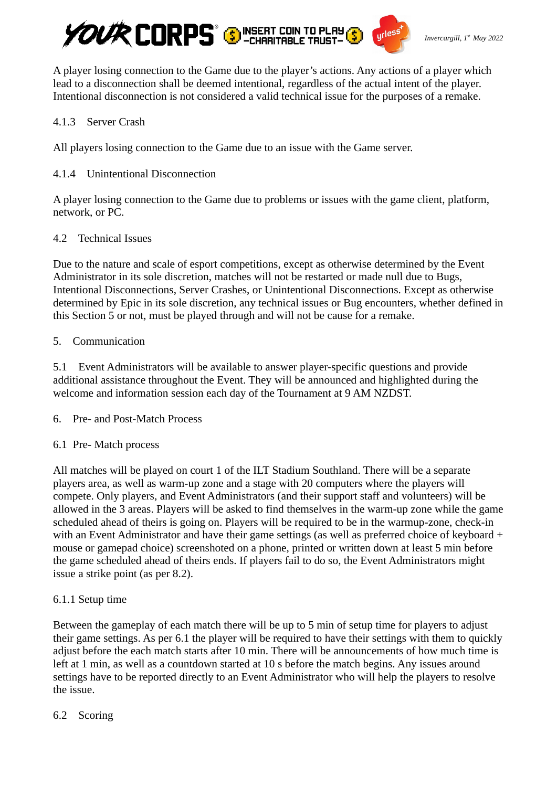

A player losing connection to the Game due to the player's actions. Any actions of a player which lead to a disconnection shall be deemed intentional, regardless of the actual intent of the player. Intentional disconnection is not considered a valid technical issue for the purposes of a remake.

### 4.1.3 Server Crash

All players losing connection to the Game due to an issue with the Game server.

### 4.1.4 Unintentional Disconnection

A player losing connection to the Game due to problems or issues with the game client, platform, network, or PC.

### 4.2 Technical Issues

Due to the nature and scale of esport competitions, except as otherwise determined by the Event Administrator in its sole discretion, matches will not be restarted or made null due to Bugs, Intentional Disconnections, Server Crashes, or Unintentional Disconnections. Except as otherwise determined by Epic in its sole discretion, any technical issues or Bug encounters, whether defined in this Section 5 or not, must be played through and will not be cause for a remake.

### 5. Communication

5.1 Event Administrators will be available to answer player-specific questions and provide additional assistance throughout the Event. They will be announced and highlighted during the welcome and information session each day of the Tournament at 9 AM NZDST.

6. Pre- and Post-Match Process

# 6.1 Pre- Match process

All matches will be played on court 1 of the ILT Stadium Southland. There will be a separate players area, as well as warm-up zone and a stage with 20 computers where the players will compete. Only players, and Event Administrators (and their support staff and volunteers) will be allowed in the 3 areas. Players will be asked to find themselves in the warm-up zone while the game scheduled ahead of theirs is going on. Players will be required to be in the warmup-zone, check-in with an Event Administrator and have their game settings (as well as preferred choice of keyboard + mouse or gamepad choice) screenshoted on a phone, printed or written down at least 5 min before the game scheduled ahead of theirs ends. If players fail to do so, the Event Administrators might issue a strike point (as per 8.2).

# 6.1.1 Setup time

Between the gameplay of each match there will be up to 5 min of setup time for players to adjust their game settings. As per 6.1 the player will be required to have their settings with them to quickly adjust before the each match starts after 10 min. There will be announcements of how much time is left at 1 min, as well as a countdown started at 10 s before the match begins. Any issues around settings have to be reported directly to an Event Administrator who will help the players to resolve the issue.

### 6.2 Scoring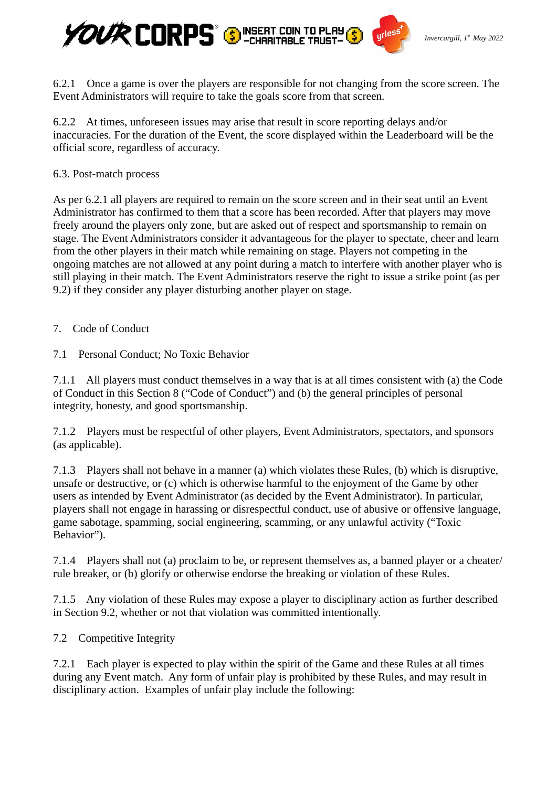

6.2.1 Once a game is over the players are responsible for not changing from the score screen. The Event Administrators will require to take the goals score from that screen.

6.2.2 At times, unforeseen issues may arise that result in score reporting delays and/or inaccuracies. For the duration of the Event, the score displayed within the Leaderboard will be the official score, regardless of accuracy.

6.3. Post-match process

As per 6.2.1 all players are required to remain on the score screen and in their seat until an Event Administrator has confirmed to them that a score has been recorded. After that players may move freely around the players only zone, but are asked out of respect and sportsmanship to remain on stage. The Event Administrators consider it advantageous for the player to spectate, cheer and learn from the other players in their match while remaining on stage. Players not competing in the ongoing matches are not allowed at any point during a match to interfere with another player who is still playing in their match. The Event Administrators reserve the right to issue a strike point (as per 9.2) if they consider any player disturbing another player on stage.

7. Code of Conduct

7.1 Personal Conduct; No Toxic Behavior

7.1.1 All players must conduct themselves in a way that is at all times consistent with (a) the Code of Conduct in this Section 8 ("Code of Conduct") and (b) the general principles of personal integrity, honesty, and good sportsmanship.

7.1.2 Players must be respectful of other players, Event Administrators, spectators, and sponsors (as applicable).

7.1.3 Players shall not behave in a manner (a) which violates these Rules, (b) which is disruptive, unsafe or destructive, or (c) which is otherwise harmful to the enjoyment of the Game by other users as intended by Event Administrator (as decided by the Event Administrator). In particular, players shall not engage in harassing or disrespectful conduct, use of abusive or offensive language, game sabotage, spamming, social engineering, scamming, or any unlawful activity ("Toxic Behavior").

7.1.4 Players shall not (a) proclaim to be, or represent themselves as, a banned player or a cheater/ rule breaker, or (b) glorify or otherwise endorse the breaking or violation of these Rules.

7.1.5 Any violation of these Rules may expose a player to disciplinary action as further described in Section 9.2, whether or not that violation was committed intentionally.

7.2 Competitive Integrity

7.2.1 Each player is expected to play within the spirit of the Game and these Rules at all times during any Event match. Any form of unfair play is prohibited by these Rules, and may result in disciplinary action. Examples of unfair play include the following: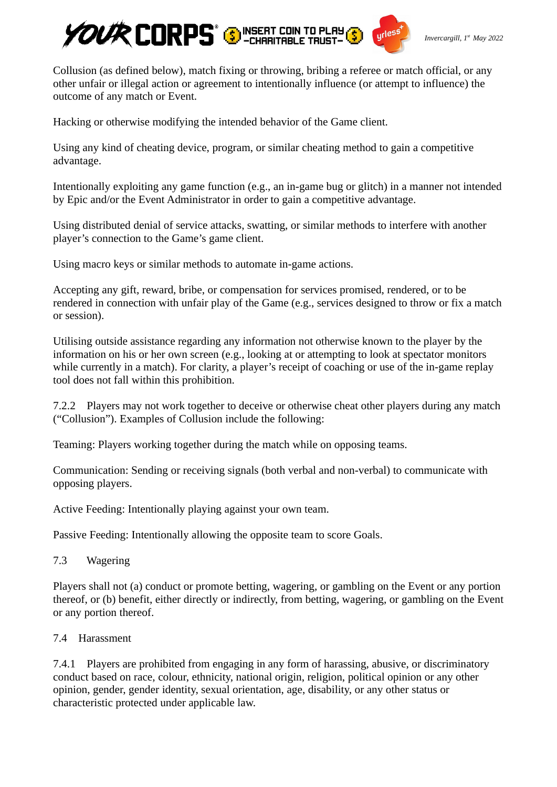

Collusion (as defined below), match fixing or throwing, bribing a referee or match official, or any other unfair or illegal action or agreement to intentionally influence (or attempt to influence) the outcome of any match or Event.

Hacking or otherwise modifying the intended behavior of the Game client.

Using any kind of cheating device, program, or similar cheating method to gain a competitive advantage.

Intentionally exploiting any game function (e.g., an in-game bug or glitch) in a manner not intended by Epic and/or the Event Administrator in order to gain a competitive advantage.

Using distributed denial of service attacks, swatting, or similar methods to interfere with another player's connection to the Game's game client.

Using macro keys or similar methods to automate in-game actions.

Accepting any gift, reward, bribe, or compensation for services promised, rendered, or to be rendered in connection with unfair play of the Game (e.g., services designed to throw or fix a match or session).

Utilising outside assistance regarding any information not otherwise known to the player by the information on his or her own screen (e.g., looking at or attempting to look at spectator monitors while currently in a match). For clarity, a player's receipt of coaching or use of the in-game replay tool does not fall within this prohibition.

7.2.2 Players may not work together to deceive or otherwise cheat other players during any match ("Collusion"). Examples of Collusion include the following:

Teaming: Players working together during the match while on opposing teams.

Communication: Sending or receiving signals (both verbal and non-verbal) to communicate with opposing players.

Active Feeding: Intentionally playing against your own team.

Passive Feeding: Intentionally allowing the opposite team to score Goals.

7.3 Wagering

Players shall not (a) conduct or promote betting, wagering, or gambling on the Event or any portion thereof, or (b) benefit, either directly or indirectly, from betting, wagering, or gambling on the Event or any portion thereof.

### 7.4 Harassment

7.4.1 Players are prohibited from engaging in any form of harassing, abusive, or discriminatory conduct based on race, colour, ethnicity, national origin, religion, political opinion or any other opinion, gender, gender identity, sexual orientation, age, disability, or any other status or characteristic protected under applicable law.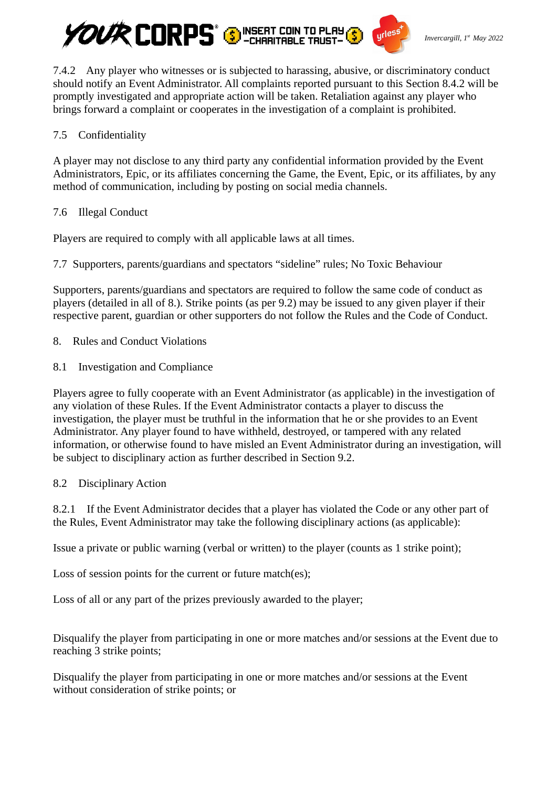

7.4.2 Any player who witnesses or is subjected to harassing, abusive, or discriminatory conduct should notify an Event Administrator. All complaints reported pursuant to this Section 8.4.2 will be promptly investigated and appropriate action will be taken. Retaliation against any player who brings forward a complaint or cooperates in the investigation of a complaint is prohibited.

### 7.5 Confidentiality

A player may not disclose to any third party any confidential information provided by the Event Administrators, Epic, or its affiliates concerning the Game, the Event, Epic, or its affiliates, by any method of communication, including by posting on social media channels.

### 7.6 Illegal Conduct

Players are required to comply with all applicable laws at all times.

7.7 Supporters, parents/guardians and spectators "sideline" rules; No Toxic Behaviour

Supporters, parents/guardians and spectators are required to follow the same code of conduct as players (detailed in all of 8.). Strike points (as per 9.2) may be issued to any given player if their respective parent, guardian or other supporters do not follow the Rules and the Code of Conduct.

- 8. Rules and Conduct Violations
- 8.1 Investigation and Compliance

Players agree to fully cooperate with an Event Administrator (as applicable) in the investigation of any violation of these Rules. If the Event Administrator contacts a player to discuss the investigation, the player must be truthful in the information that he or she provides to an Event Administrator. Any player found to have withheld, destroyed, or tampered with any related information, or otherwise found to have misled an Event Administrator during an investigation, will be subject to disciplinary action as further described in Section 9.2.

### 8.2 Disciplinary Action

8.2.1 If the Event Administrator decides that a player has violated the Code or any other part of the Rules, Event Administrator may take the following disciplinary actions (as applicable):

Issue a private or public warning (verbal or written) to the player (counts as 1 strike point);

Loss of session points for the current or future match(es);

Loss of all or any part of the prizes previously awarded to the player;

Disqualify the player from participating in one or more matches and/or sessions at the Event due to reaching 3 strike points;

Disqualify the player from participating in one or more matches and/or sessions at the Event without consideration of strike points; or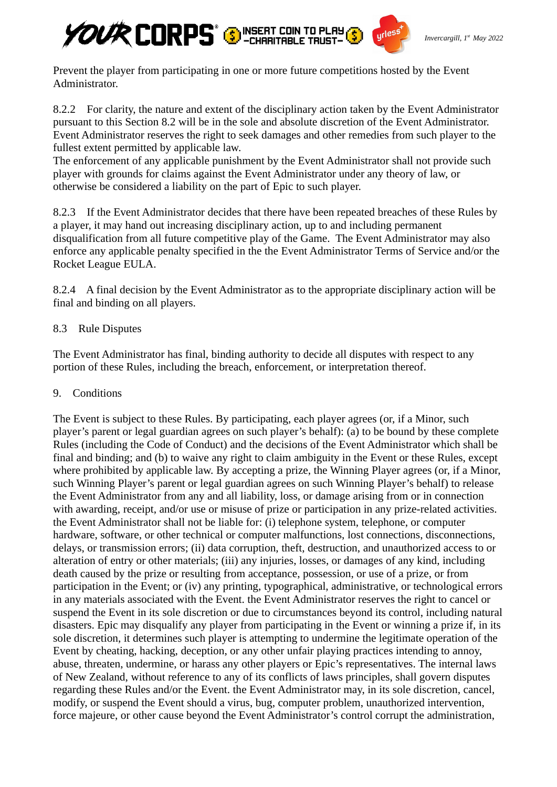

Prevent the player from participating in one or more future competitions hosted by the Event Administrator.

8.2.2 For clarity, the nature and extent of the disciplinary action taken by the Event Administrator pursuant to this Section 8.2 will be in the sole and absolute discretion of the Event Administrator. Event Administrator reserves the right to seek damages and other remedies from such player to the fullest extent permitted by applicable law.

The enforcement of any applicable punishment by the Event Administrator shall not provide such player with grounds for claims against the Event Administrator under any theory of law, or otherwise be considered a liability on the part of Epic to such player.

8.2.3 If the Event Administrator decides that there have been repeated breaches of these Rules by a player, it may hand out increasing disciplinary action, up to and including permanent disqualification from all future competitive play of the Game. The Event Administrator may also enforce any applicable penalty specified in the the Event Administrator Terms of Service and/or the Rocket League EULA.

8.2.4 A final decision by the Event Administrator as to the appropriate disciplinary action will be final and binding on all players.

### 8.3 Rule Disputes

The Event Administrator has final, binding authority to decide all disputes with respect to any portion of these Rules, including the breach, enforcement, or interpretation thereof.

9. Conditions

The Event is subject to these Rules. By participating, each player agrees (or, if a Minor, such player's parent or legal guardian agrees on such player's behalf): (a) to be bound by these complete Rules (including the Code of Conduct) and the decisions of the Event Administrator which shall be final and binding; and (b) to waive any right to claim ambiguity in the Event or these Rules, except where prohibited by applicable law. By accepting a prize, the Winning Player agrees (or, if a Minor, such Winning Player's parent or legal guardian agrees on such Winning Player's behalf) to release the Event Administrator from any and all liability, loss, or damage arising from or in connection with awarding, receipt, and/or use or misuse of prize or participation in any prize-related activities. the Event Administrator shall not be liable for: (i) telephone system, telephone, or computer hardware, software, or other technical or computer malfunctions, lost connections, disconnections, delays, or transmission errors; (ii) data corruption, theft, destruction, and unauthorized access to or alteration of entry or other materials; (iii) any injuries, losses, or damages of any kind, including death caused by the prize or resulting from acceptance, possession, or use of a prize, or from participation in the Event; or (iv) any printing, typographical, administrative, or technological errors in any materials associated with the Event. the Event Administrator reserves the right to cancel or suspend the Event in its sole discretion or due to circumstances beyond its control, including natural disasters. Epic may disqualify any player from participating in the Event or winning a prize if, in its sole discretion, it determines such player is attempting to undermine the legitimate operation of the Event by cheating, hacking, deception, or any other unfair playing practices intending to annoy, abuse, threaten, undermine, or harass any other players or Epic's representatives. The internal laws of New Zealand, without reference to any of its conflicts of laws principles, shall govern disputes regarding these Rules and/or the Event. the Event Administrator may, in its sole discretion, cancel, modify, or suspend the Event should a virus, bug, computer problem, unauthorized intervention, force majeure, or other cause beyond the Event Administrator's control corrupt the administration,